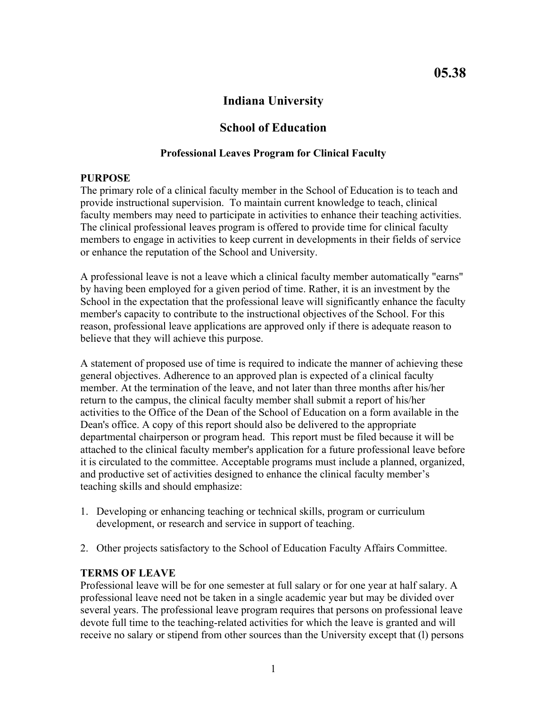## **Indiana University**

## **School of Education**

### **Professional Leaves Program for Clinical Faculty**

### **PURPOSE**

The primary role of a clinical faculty member in the School of Education is to teach and provide instructional supervision. To maintain current knowledge to teach, clinical faculty members may need to participate in activities to enhance their teaching activities. The clinical professional leaves program is offered to provide time for clinical faculty members to engage in activities to keep current in developments in their fields of service or enhance the reputation of the School and University.

A professional leave is not a leave which a clinical faculty member automatically "earns" by having been employed for a given period of time. Rather, it is an investment by the School in the expectation that the professional leave will significantly enhance the faculty member's capacity to contribute to the instructional objectives of the School. For this reason, professional leave applications are approved only if there is adequate reason to believe that they will achieve this purpose.

A statement of proposed use of time is required to indicate the manner of achieving these general objectives. Adherence to an approved plan is expected of a clinical faculty member. At the termination of the leave, and not later than three months after his/her return to the campus, the clinical faculty member shall submit a report of his/her activities to the Office of the Dean of the School of Education on a form available in the Dean's office. A copy of this report should also be delivered to the appropriate departmental chairperson or program head. This report must be filed because it will be attached to the clinical faculty member's application for a future professional leave before it is circulated to the committee. Acceptable programs must include a planned, organized, and productive set of activities designed to enhance the clinical faculty member's teaching skills and should emphasize:

- 1. Developing or enhancing teaching or technical skills, program or curriculum development, or research and service in support of teaching.
- 2. Other projects satisfactory to the School of Education Faculty Affairs Committee.

## **TERMS OF LEAVE**

Professional leave will be for one semester at full salary or for one year at half salary. A professional leave need not be taken in a single academic year but may be divided over several years. The professional leave program requires that persons on professional leave devote full time to the teaching-related activities for which the leave is granted and will receive no salary or stipend from other sources than the University except that (l) persons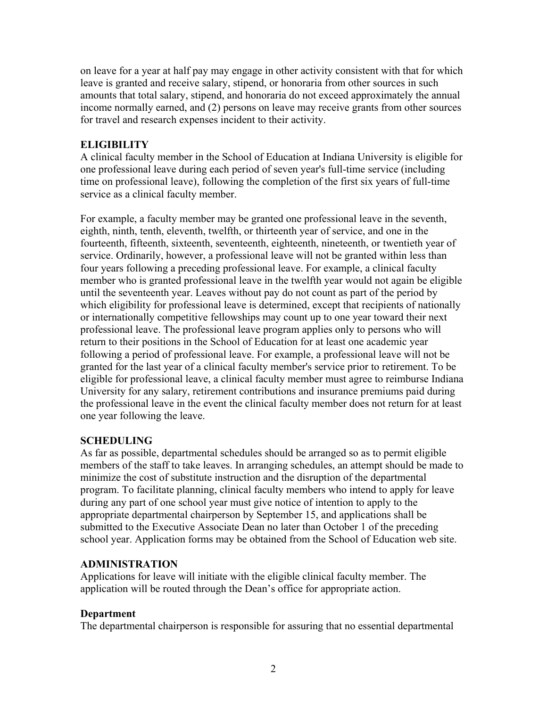on leave for a year at half pay may engage in other activity consistent with that for which leave is granted and receive salary, stipend, or honoraria from other sources in such amounts that total salary, stipend, and honoraria do not exceed approximately the annual income normally earned, and (2) persons on leave may receive grants from other sources for travel and research expenses incident to their activity.

### **ELIGIBILITY**

A clinical faculty member in the School of Education at Indiana University is eligible for one professional leave during each period of seven year's full-time service (including time on professional leave), following the completion of the first six years of full-time service as a clinical faculty member.

For example, a faculty member may be granted one professional leave in the seventh, eighth, ninth, tenth, eleventh, twelfth, or thirteenth year of service, and one in the fourteenth, fifteenth, sixteenth, seventeenth, eighteenth, nineteenth, or twentieth year of service. Ordinarily, however, a professional leave will not be granted within less than four years following a preceding professional leave. For example, a clinical faculty member who is granted professional leave in the twelfth year would not again be eligible until the seventeenth year. Leaves without pay do not count as part of the period by which eligibility for professional leave is determined, except that recipients of nationally or internationally competitive fellowships may count up to one year toward their next professional leave. The professional leave program applies only to persons who will return to their positions in the School of Education for at least one academic year following a period of professional leave. For example, a professional leave will not be granted for the last year of a clinical faculty member's service prior to retirement. To be eligible for professional leave, a clinical faculty member must agree to reimburse Indiana University for any salary, retirement contributions and insurance premiums paid during the professional leave in the event the clinical faculty member does not return for at least one year following the leave.

### **SCHEDULING**

As far as possible, departmental schedules should be arranged so as to permit eligible members of the staff to take leaves. In arranging schedules, an attempt should be made to minimize the cost of substitute instruction and the disruption of the departmental program. To facilitate planning, clinical faculty members who intend to apply for leave during any part of one school year must give notice of intention to apply to the appropriate departmental chairperson by September 15, and applications shall be submitted to the Executive Associate Dean no later than October 1 of the preceding school year. Application forms may be obtained from the School of Education web site.

### **ADMINISTRATION**

Applications for leave will initiate with the eligible clinical faculty member. The application will be routed through the Dean's office for appropriate action.

## **Department**

The departmental chairperson is responsible for assuring that no essential departmental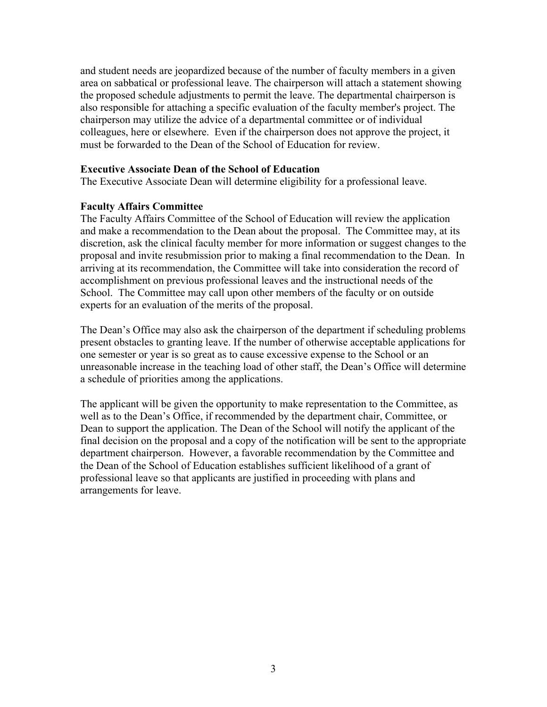and student needs are jeopardized because of the number of faculty members in a given area on sabbatical or professional leave. The chairperson will attach a statement showing the proposed schedule adjustments to permit the leave. The departmental chairperson is also responsible for attaching a specific evaluation of the faculty member's project. The chairperson may utilize the advice of a departmental committee or of individual colleagues, here or elsewhere. Even if the chairperson does not approve the project, it must be forwarded to the Dean of the School of Education for review.

### **Executive Associate Dean of the School of Education**

The Executive Associate Dean will determine eligibility for a professional leave.

#### **Faculty Affairs Committee**

The Faculty Affairs Committee of the School of Education will review the application and make a recommendation to the Dean about the proposal. The Committee may, at its discretion, ask the clinical faculty member for more information or suggest changes to the proposal and invite resubmission prior to making a final recommendation to the Dean. In arriving at its recommendation, the Committee will take into consideration the record of accomplishment on previous professional leaves and the instructional needs of the School. The Committee may call upon other members of the faculty or on outside experts for an evaluation of the merits of the proposal.

The Dean's Office may also ask the chairperson of the department if scheduling problems present obstacles to granting leave. If the number of otherwise acceptable applications for one semester or year is so great as to cause excessive expense to the School or an unreasonable increase in the teaching load of other staff, the Dean's Office will determine a schedule of priorities among the applications.

The applicant will be given the opportunity to make representation to the Committee, as well as to the Dean's Office, if recommended by the department chair, Committee, or Dean to support the application. The Dean of the School will notify the applicant of the final decision on the proposal and a copy of the notification will be sent to the appropriate department chairperson. However, a favorable recommendation by the Committee and the Dean of the School of Education establishes sufficient likelihood of a grant of professional leave so that applicants are justified in proceeding with plans and arrangements for leave.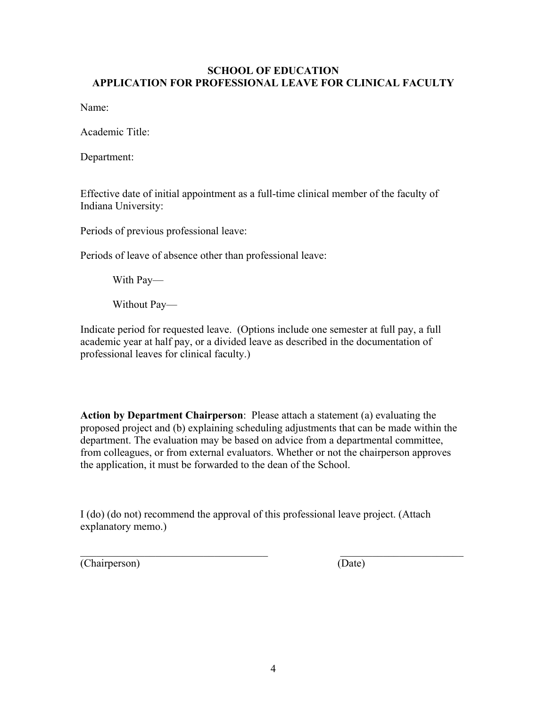### **SCHOOL OF EDUCATION APPLICATION FOR PROFESSIONAL LEAVE FOR CLINICAL FACULTY**

Name:

Academic Title:

Department:

Effective date of initial appointment as a full-time clinical member of the faculty of Indiana University:

Periods of previous professional leave:

Periods of leave of absence other than professional leave:

With Pay—

Without Pay—

Indicate period for requested leave. (Options include one semester at full pay, a full academic year at half pay, or a divided leave as described in the documentation of professional leaves for clinical faculty.)

**Action by Department Chairperson**: Please attach a statement (a) evaluating the proposed project and (b) explaining scheduling adjustments that can be made within the department. The evaluation may be based on advice from a departmental committee, from colleagues, or from external evaluators. Whether or not the chairperson approves the application, it must be forwarded to the dean of the School.

I (do) (do not) recommend the approval of this professional leave project. (Attach explanatory memo.)

 $\frac{1}{2}$  ,  $\frac{1}{2}$  ,  $\frac{1}{2}$  ,  $\frac{1}{2}$  ,  $\frac{1}{2}$  ,  $\frac{1}{2}$  ,  $\frac{1}{2}$  ,  $\frac{1}{2}$  ,  $\frac{1}{2}$  ,  $\frac{1}{2}$  ,  $\frac{1}{2}$  ,  $\frac{1}{2}$  ,  $\frac{1}{2}$  ,  $\frac{1}{2}$  ,  $\frac{1}{2}$  ,  $\frac{1}{2}$  ,  $\frac{1}{2}$  ,  $\frac{1}{2}$  ,  $\frac{1$ 

(Chairperson) (Date)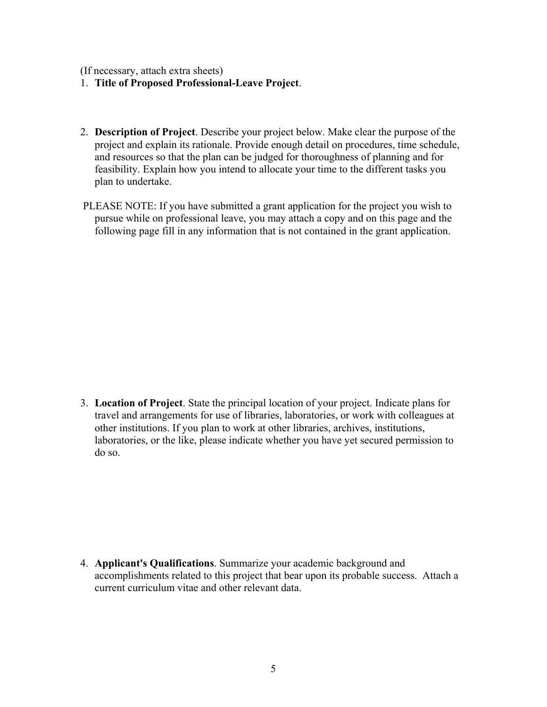(If necessary, attach extra sheets)

- 1. **Title of Proposed Professional-Leave Project**.
- 2. **Description of Project**. Describe your project below. Make clear the purpose of the project and explain its rationale. Provide enough detail on procedures, time schedule, and resources so that the plan can be judged for thoroughness of planning and for feasibility. Explain how you intend to allocate your time to the different tasks you plan to undertake.
- PLEASE NOTE: If you have submitted a grant application for the project you wish to pursue while on professional leave, you may attach a copy and on this page and the following page fill in any information that is not contained in the grant application.

3. **Location of Project**. State the principal location of your project. Indicate plans for travel and arrangements for use of libraries, laboratories, or work with colleagues at other institutions. If you plan to work at other libraries, archives, institutions, laboratories, or the like, please indicate whether you have yet secured permission to do so.

4. **Applicant's Qualifications**. Summarize your academic background and accomplishments related to this project that bear upon its probable success. Attach a current curriculum vitae and other relevant data.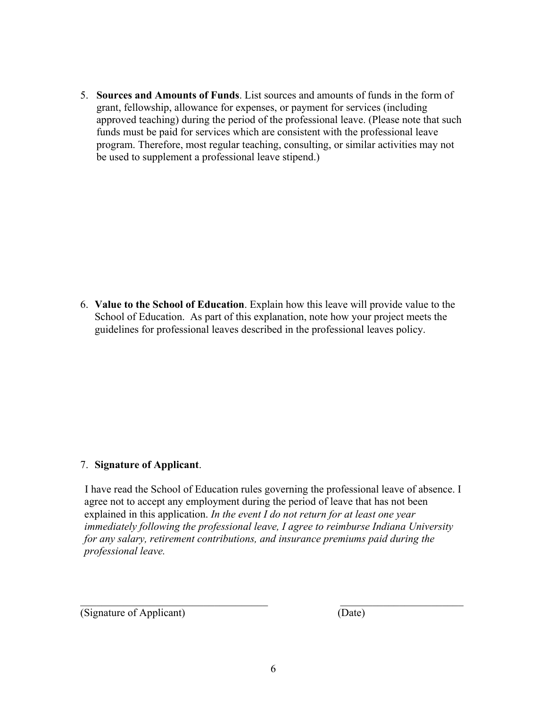5. **Sources and Amounts of Funds**. List sources and amounts of funds in the form of grant, fellowship, allowance for expenses, or payment for services (including approved teaching) during the period of the professional leave. (Please note that such funds must be paid for services which are consistent with the professional leave program. Therefore, most regular teaching, consulting, or similar activities may not be used to supplement a professional leave stipend.)

6. **Value to the School of Education**. Explain how this leave will provide value to the School of Education. As part of this explanation, note how your project meets the guidelines for professional leaves described in the professional leaves policy.

### 7. **Signature of Applicant**.

 I have read the School of Education rules governing the professional leave of absence. I agree not to accept any employment during the period of leave that has not been explained in this application. *In the event I do not return for at least one year immediately following the professional leave, I agree to reimburse Indiana University for any salary, retirement contributions, and insurance premiums paid during the professional leave.* 

(Signature of Applicant) (Date)